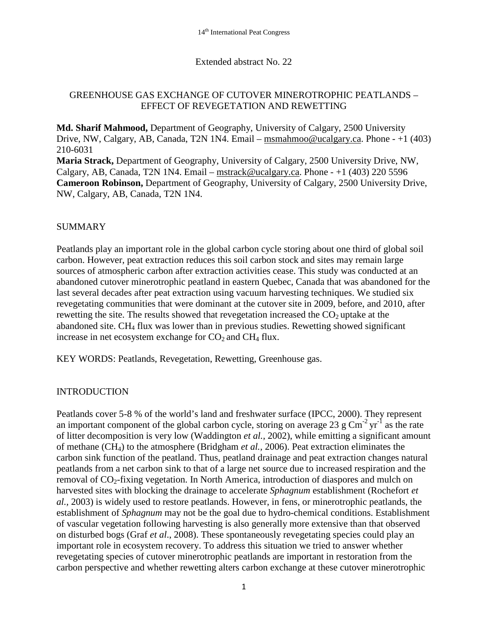#### Extended abstract No. 22

# GREENHOUSE GAS EXCHANGE OF CUTOVER MINEROTROPHIC PEATLANDS – EFFECT OF REVEGETATION AND REWETTING

**Md. Sharif Mahmood,** Department of Geography, University of Calgary, 2500 University Drive, NW, Calgary, AB, Canada, T2N 1N4. Email – [msmahmoo@ucalgary.ca.](mailto:msmahmoo@ucalgary.ca) Phone - +1 (403) 210-6031

**Maria Strack,** Department of Geography, University of Calgary, 2500 University Drive, NW, Calgary, AB, Canada, T2N 1N4. Email – [mstrack@ucalgary.ca.](mailto:mstrack@ucalgary.ca) Phone -  $+1$  (403) 220 5596 **Cameroon Robinson,** Department of Geography, University of Calgary, 2500 University Drive, NW, Calgary, AB, Canada, T2N 1N4.

#### SUMMARY

Peatlands play an important role in the global carbon cycle storing about one third of global soil carbon. However, peat extraction reduces this soil carbon stock and sites may remain large sources of atmospheric carbon after extraction activities cease. This study was conducted at an abandoned cutover minerotrophic peatland in eastern Quebec, Canada that was abandoned for the last several decades after peat extraction using vacuum harvesting techniques. We studied six revegetating communities that were dominant at the cutover site in 2009, before, and 2010, after rewetting the site. The results showed that revegetation increased the  $CO<sub>2</sub>$  uptake at the abandoned site. CH4 flux was lower than in previous studies. Rewetting showed significant increase in net ecosystem exchange for  $CO<sub>2</sub>$  and  $CH<sub>4</sub>$  flux.

KEY WORDS: Peatlands, Revegetation, Rewetting, Greenhouse gas.

# INTRODUCTION

Peatlands cover 5-8 % of the world's land and freshwater surface (IPCC, 2000). They represent an important component of the global carbon cycle, storing on average 23 g  $\text{Cm}^2 \text{ yr}^1$  as the rate of litter decomposition is very low (Waddington *et al.,* 2002), while emitting a significant amount of methane (CH4) to the atmosphere (Bridgham *et al.,* 2006). Peat extraction eliminates the carbon sink function of the peatland. Thus, peatland drainage and peat extraction changes natural peatlands from a net carbon sink to that of a large net source due to increased respiration and the removal of CO<sub>2</sub>-fixing vegetation. In North America, introduction of diaspores and mulch on harvested sites with blocking the drainage to accelerate *Sphagnum* establishment (Rochefort *et al.,* 2003) is widely used to restore peatlands. However, in fens, or minerotrophic peatlands, the establishment of *Sphagnum* may not be the goal due to hydro-chemical conditions. Establishment of vascular vegetation following harvesting is also generally more extensive than that observed on disturbed bogs (Graf *et al*., 2008). These spontaneously revegetating species could play an important role in ecosystem recovery. To address this situation we tried to answer whether revegetating species of cutover minerotrophic peatlands are important in restoration from the carbon perspective and whether rewetting alters carbon exchange at these cutover minerotrophic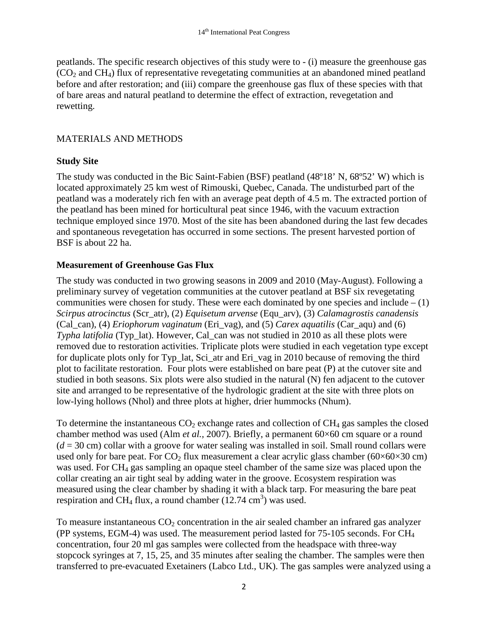peatlands. The specific research objectives of this study were to - (i) measure the greenhouse gas  $(CO<sub>2</sub>$  and CH<sub>4</sub>) flux of representative revegetating communities at an abandoned mined peatland before and after restoration; and (iii) compare the greenhouse gas flux of these species with that of bare areas and natural peatland to determine the effect of extraction, revegetation and rewetting.

# MATERIALS AND METHODS

# **Study Site**

The study was conducted in the Bic Saint-Fabien (BSF) peatland (48°18' N, 68°52' W) which is located approximately 25 km west of Rimouski, Quebec, Canada. The undisturbed part of the peatland was a moderately rich fen with an average peat depth of 4.5 m. The extracted portion of the peatland has been mined for horticultural peat since 1946, with the vacuum extraction technique employed since 1970. Most of the site has been abandoned during the last few decades and spontaneous revegetation has occurred in some sections. The present harvested portion of BSF is about 22 ha.

# **Measurement of Greenhouse Gas Flux**

The study was conducted in two growing seasons in 2009 and 2010 (May-August). Following a preliminary survey of vegetation communities at the cutover peatland at BSF six revegetating communities were chosen for study. These were each dominated by one species and include  $- (1)$ *Scirpus atrocinctus* (Scr\_atr), (2) *Equisetum arvense* (Equ\_arv), (3) *Calamagrostis canadensis*  (Cal\_can), (4) *Eriophorum vaginatum* (Eri\_vag), and (5) *Carex aquatilis* (Car\_aqu) and (6) *Typha latifolia* (Typ\_lat). However, Cal\_can was not studied in 2010 as all these plots were removed due to restoration activities. Triplicate plots were studied in each vegetation type except for duplicate plots only for Typ\_lat, Sci\_atr and Eri\_vag in 2010 because of removing the third plot to facilitate restoration. Four plots were established on bare peat (P) at the cutover site and studied in both seasons. Six plots were also studied in the natural (N) fen adjacent to the cutover site and arranged to be representative of the hydrologic gradient at the site with three plots on low-lying hollows (Nhol) and three plots at higher, drier hummocks (Nhum).

To determine the instantaneous  $CO<sub>2</sub>$  exchange rates and collection of  $CH<sub>4</sub>$  gas samples the closed chamber method was used (Alm *et al.,* 2007). Briefly, a permanent 60×60 cm square or a round  $(d = 30 \text{ cm})$  collar with a groove for water sealing was installed in soil. Small round collars were used only for bare peat. For  $CO<sub>2</sub>$  flux measurement a clear acrylic glass chamber (60×60×30 cm) was used. For CH<sub>4</sub> gas sampling an opaque steel chamber of the same size was placed upon the collar creating an air tight seal by adding water in the groove. Ecosystem respiration was measured using the clear chamber by shading it with a black tarp. For measuring the bare peat respiration and CH<sub>4</sub> flux, a round chamber  $(12.74 \text{ cm}^3)$  was used.

To measure instantaneous  $CO<sub>2</sub>$  concentration in the air sealed chamber an infrared gas analyzer (PP systems, EGM-4) was used. The measurement period lasted for 75-105 seconds. For CH4 concentration, four 20 ml gas samples were collected from the headspace with three-way stopcock syringes at 7, 15, 25, and 35 minutes after sealing the chamber. The samples were then transferred to pre-evacuated Exetainers (Labco Ltd., UK). The gas samples were analyzed using a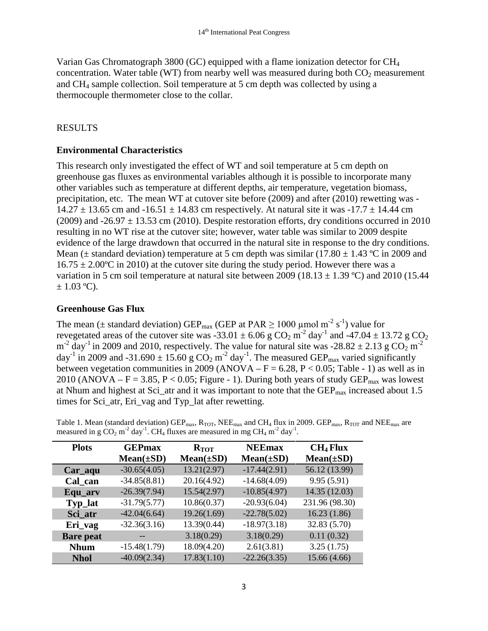Varian Gas Chromatograph 3800 (GC) equipped with a flame ionization detector for CH4 concentration. Water table (WT) from nearby well was measured during both  $CO<sub>2</sub>$  measurement and CH4 sample collection. Soil temperature at 5 cm depth was collected by using a thermocouple thermometer close to the collar.

# RESULTS

#### **Environmental Characteristics**

This research only investigated the effect of WT and soil temperature at 5 cm depth on greenhouse gas fluxes as environmental variables although it is possible to incorporate many other variables such as temperature at different depths, air temperature, vegetation biomass, precipitation, etc. The mean WT at cutover site before (2009) and after (2010) rewetting was -  $14.27 \pm 13.65$  cm and  $-16.51 \pm 14.83$  cm respectively. At natural site it was  $-17.7 \pm 14.44$  cm (2009) and  $-26.97 \pm 13.53$  cm (2010). Despite restoration efforts, dry conditions occurred in 2010 resulting in no WT rise at the cutover site; however, water table was similar to 2009 despite evidence of the large drawdown that occurred in the natural site in response to the dry conditions. Mean ( $\pm$  standard deviation) temperature at 5 cm depth was similar (17.80  $\pm$  1.43 °C in 2009 and  $16.75 \pm 2.00^{\circ}$ C in 2010) at the cutover site during the study period. However there was a variation in 5 cm soil temperature at natural site between 2009 (18.13  $\pm$  1.39 °C) and 2010 (15.44  $\pm$  1.03 °C).

# **Greenhouse Gas Flux**

The mean ( $\pm$  standard deviation) GEP<sub>max</sub> (GEP at PAR  $\geq$  1000 µmol m<sup>-2</sup> s<sup>-1</sup>) value for revegetated areas of the cutover site was  $-33.01 \pm 6.06$  g CO<sub>2</sub> m<sup>-2</sup> day<sup>-1</sup> and  $-47.04 \pm 13.72$  g CO<sub>2</sub>  $m^{-2}$  day<sup>-1</sup> in 2009 and 2010, respectively. The value for natural site was -28.82  $\pm$  2.13 g CO<sub>2</sub> m<sup>-2</sup> day<sup>-1</sup> in 2009 and -31.690  $\pm$  15.60 g CO<sub>2</sub> m<sup>-2</sup> day<sup>-1</sup>. The measured GEP<sub>max</sub> varied significantly between vegetation communities in 2009 (ANOVA –  $F = 6.28$ ,  $P < 0.05$ ; Table - 1) as well as in 2010 (ANOVA – F = 3.85, P < 0.05; Figure - 1). During both years of study  $GEP_{\text{max}}$  was lowest at Nhum and highest at Sci\_atr and it was important to note that the  $GEP_{\text{max}}$  increased about 1.5 times for Sci\_atr, Eri\_vag and Typ\_lat after rewetting.

| measured in g $CO_2$ m <sup>-2</sup> day <sup>-1</sup> . CH <sub>4</sub> fluxes are measured in mg CH <sub>4</sub> m <sup>-2</sup> day <sup>-1</sup> . |                                                                                                                                                                                                  |  |  |  |  |  |  |  |
|--------------------------------------------------------------------------------------------------------------------------------------------------------|--------------------------------------------------------------------------------------------------------------------------------------------------------------------------------------------------|--|--|--|--|--|--|--|
|                                                                                                                                                        | Table 1. Mean (standard deviation) GEP <sub>max</sub> , R <sub>TOT</sub> , NEE <sub>max</sub> and CH <sub>4</sub> flux in 2009. GEP <sub>max</sub> , R <sub>TOT</sub> and NEE <sub>max</sub> are |  |  |  |  |  |  |  |

| <b>Plots</b>     | <b>GEPmax</b>  | <b>NEEmax</b><br>$R_{\text{TOT}}$ |                | CH <sub>4</sub> Flux |  |
|------------------|----------------|-----------------------------------|----------------|----------------------|--|
|                  | $Mean(\pm SD)$ | $Mean(\pm SD)$                    | $Mean(\pm SD)$ | $Mean(\pm SD)$       |  |
| Car_aqu          | $-30.65(4.05)$ | 13.21(2.97)                       | $-17.44(2.91)$ | 56.12 (13.99)        |  |
| Cal can          | $-34.85(8.81)$ | 20.16(4.92)                       | $-14.68(4.09)$ | 9.95(5.91)           |  |
| Equ_arv          | $-26.39(7.94)$ | 15.54(2.97)                       | $-10.85(4.97)$ | 14.35 (12.03)        |  |
| Typ_lat          | $-31.79(5.77)$ | 10.86(0.37)                       | $-20.93(6.04)$ | 231.96 (98.30)       |  |
| Sci_atr          | $-42.04(6.64)$ | 19.26(1.69)                       | $-22.78(5.02)$ | 16.23(1.86)          |  |
| Eri_vag          | $-32.36(3.16)$ | 13.39(0.44)                       | $-18.97(3.18)$ | 32.83 (5.70)         |  |
| <b>Bare</b> peat |                | 3.18(0.29)                        | 3.18(0.29)     | 0.11(0.32)           |  |
| <b>Nhum</b>      | $-15.48(1.79)$ | 18.09(4.20)                       | 2.61(3.81)     | 3.25(1.75)           |  |
| <b>Nhol</b>      | $-40.09(2.34)$ | 17.83(1.10)                       | $-22.26(3.35)$ | 15.66 (4.66)         |  |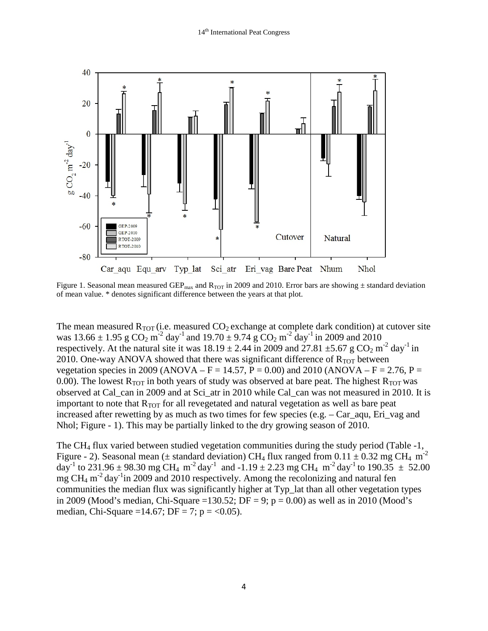

Figure 1. Seasonal mean measured GEP<sub>max</sub> and R<sub>TOT</sub> in 2009 and 2010. Error bars are showing  $\pm$  standard deviation of mean value. \* denotes significant difference between the years at that plot.

The mean measured  $R_{TOT}$  (i.e. measured  $CO<sub>2</sub>$  exchange at complete dark condition) at cutover site was  $13.66 \pm 1.95$  g  $\text{CO}_2$  m<sup>-2</sup> day<sup>-1</sup> and  $19.70 \pm 9.74$  g  $\text{CO}_2$  m<sup>-2</sup> day<sup>-1</sup> in 2009 and 2010 respectively. At the natural site it was  $18.19 \pm 2.44$  in 2009 and 27.81  $\pm$ 5.67 g CO<sub>2</sub> m<sup>-2</sup> day<sup>-1</sup> in 2010. One-way ANOVA showed that there was significant difference of  $R_{TOT}$  between vegetation species in 2009 (ANOVA – F = 14.57, P = 0.00) and 2010 (ANOVA – F = 2.76, P = 0.00). The lowest  $R_{TOT}$  in both years of study was observed at bare peat. The highest  $R_{TOT}$  was observed at Cal\_can in 2009 and at Sci\_atr in 2010 while Cal\_can was not measured in 2010. It is important to note that  $R_{TOT}$  for all revegetated and natural vegetation as well as bare peat increased after rewetting by as much as two times for few species (e.g.  $-$  Car\_aqu, Eri\_vag and Nhol; Figure - 1). This may be partially linked to the dry growing season of 2010.

The CH4 flux varied between studied vegetation communities during the study period (Table -1, Figure - 2). Seasonal mean ( $\pm$  standard deviation) CH<sub>4</sub> flux ranged from 0.11  $\pm$  0.32 mg CH<sub>4</sub> m<sup>-2</sup> day<sup>-1</sup> to 231.96  $\pm$  98.30 mg CH<sub>4</sub> m<sup>-2</sup> day<sup>-1</sup> and -1.19  $\pm$  2.23 mg CH<sub>4</sub> m<sup>-2</sup> day<sup>-1</sup> to 190.35  $\pm$  52.00 mg  $CH_4$  m<sup>-2</sup> day<sup>-1</sup>in 2009 and 2010 respectively. Among the recolonizing and natural fen communities the median flux was significantly higher at Typ\_lat than all other vegetation types in 2009 (Mood's median, Chi-Square =130.52; DF = 9;  $p = 0.00$ ) as well as in 2010 (Mood's median, Chi-Square =14.67; DF = 7; p = <0.05).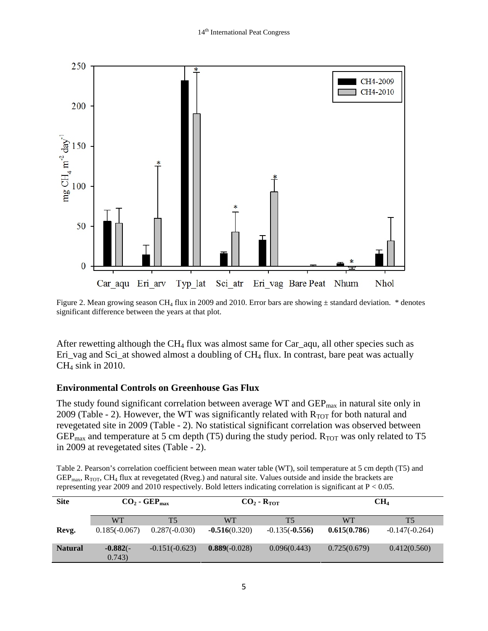

Figure 2. Mean growing season CH<sub>4</sub> flux in 2009 and 2010. Error bars are showing  $\pm$  standard deviation. \* denotes significant difference between the years at that plot.

After rewetting although the CH<sub>4</sub> flux was almost same for Car\_aqu, all other species such as Eri\_vag and Sci\_at showed almost a doubling of CH<sub>4</sub> flux. In contrast, bare peat was actually CH4 sink in 2010.

# **Environmental Controls on Greenhouse Gas Flux**

The study found significant correlation between average WT and  $\text{GEP}_{\text{max}}$  in natural site only in 2009 (Table - 2). However, the WT was significantly related with  $R_{TOT}$  for both natural and revegetated site in 2009 (Table - 2). No statistical significant correlation was observed between  $GEP_{\text{max}}$  and temperature at 5 cm depth (T5) during the study period.  $R_{\text{TOT}}$  was only related to T5 in 2009 at revegetated sites (Table - 2).

Table 2. Pearson's correlation coefficient between mean water table (WT), soil temperature at 5 cm depth (T5) and  $GEP_{max}$ ,  $R_{TOT}$ ,  $CH_4$  flux at revegetated (Rveg.) and natural site. Values outside and inside the brackets are representing year 2009 and 2010 respectively. Bold letters indicating correlation is significant at P < 0.05.

| <b>Site</b>    | $CO2$ - GEP <sub>max</sub> |                  |                 | $CO2$ - R <sub>TOT</sub> | CH <sub>4</sub> |                  |
|----------------|----------------------------|------------------|-----------------|--------------------------|-----------------|------------------|
|                | WТ                         | T5               | WТ              | T5                       | WТ              | T5               |
| Revg.          | $0.185(-0.067)$            | $0.287(-0.030)$  | $-0.516(0.320)$ | $-0.135(-0.556)$         | 0.615(0.786)    | $-0.147(-0.264)$ |
| <b>Natural</b> | $-0.882(-$<br>0.743)       | $-0.151(-0.623)$ | $0.889(-0.028)$ | 0.096(0.443)             | 0.725(0.679)    | 0.412(0.560)     |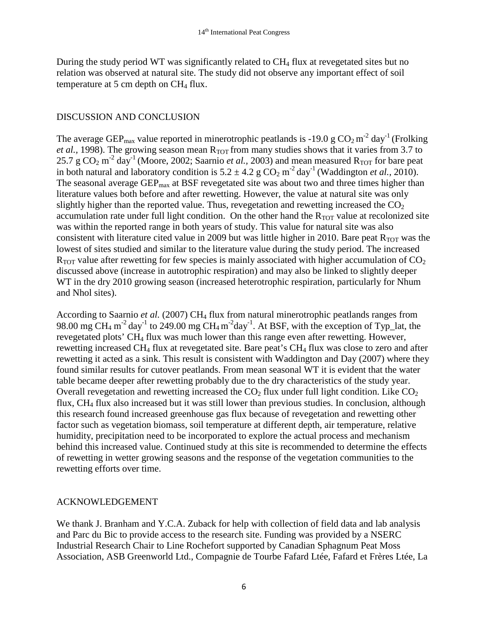During the study period WT was significantly related to  $CH<sub>4</sub>$  flux at revegetated sites but no relation was observed at natural site. The study did not observe any important effect of soil temperature at 5 cm depth on  $CH<sub>4</sub>$  flux.

#### DISCUSSION AND CONCLUSION

The average GEP<sub>max</sub> value reported in minerotrophic peatlands is -19.0 g  $CO_2 m^{-2}$  day<sup>-1</sup> (Frolking *et al.*, 1998). The growing season mean  $R_{TOT}$  from many studies shows that it varies from 3.7 to 25.7 g  $CO_2$  m<sup>-2</sup> day<sup>-1</sup> (Moore, 2002; Saarnio *et al.*, 2003) and mean measured R<sub>TOT</sub> for bare peat in both natural and laboratory condition is  $5.2 \pm 4.2$  g  $CO_2$  m<sup>-2</sup> day<sup>-1</sup> (Waddington *et al.,* 2010). The seasonal average  $\text{GEP}_{\text{max}}$  at BSF revegetated site was about two and three times higher than literature values both before and after rewetting. However, the value at natural site was only slightly higher than the reported value. Thus, revegetation and rewetting increased the  $CO<sub>2</sub>$ accumulation rate under full light condition. On the other hand the  $R_{TOT}$  value at recolonized site was within the reported range in both years of study. This value for natural site was also consistent with literature cited value in 2009 but was little higher in 2010. Bare peat  $R_{TOT}$  was the lowest of sites studied and similar to the literature value during the study period. The increased  $R_{TOT}$  value after rewetting for few species is mainly associated with higher accumulation of  $CO<sub>2</sub>$ discussed above (increase in autotrophic respiration) and may also be linked to slightly deeper WT in the dry 2010 growing season (increased heterotrophic respiration, particularly for Nhum and Nhol sites).

According to Saarnio et al. (2007) CH<sub>4</sub> flux from natural minerotrophic peatlands ranges from 98.00 mg CH<sub>4</sub> m<sup>-2</sup> day<sup>-1</sup> to 249.00 mg CH<sub>4</sub> m<sup>-2</sup> day<sup>-1</sup>. At BSF, with the exception of Typ\_lat, the revegetated plots' CH4 flux was much lower than this range even after rewetting. However, rewetting increased CH<sub>4</sub> flux at revegetated site. Bare peat's CH<sub>4</sub> flux was close to zero and after rewetting it acted as a sink. This result is consistent with Waddington and Day (2007) where they found similar results for cutover peatlands. From mean seasonal WT it is evident that the water table became deeper after rewetting probably due to the dry characteristics of the study year. Overall revegetation and rewetting increased the  $CO<sub>2</sub>$  flux under full light condition. Like  $CO<sub>2</sub>$ flux, CH4 flux also increased but it was still lower than previous studies. In conclusion, although this research found increased greenhouse gas flux because of revegetation and rewetting other factor such as vegetation biomass, soil temperature at different depth, air temperature, relative humidity, precipitation need to be incorporated to explore the actual process and mechanism behind this increased value. Continued study at this site is recommended to determine the effects of rewetting in wetter growing seasons and the response of the vegetation communities to the rewetting efforts over time.

#### ACKNOWLEDGEMENT

We thank J. Branham and Y.C.A. Zuback for help with collection of field data and lab analysis and Parc du Bic to provide access to the research site. Funding was provided by a NSERC Industrial Research Chair to Line Rochefort supported by Canadian Sphagnum Peat Moss Association, ASB Greenworld Ltd., Compagnie de Tourbe Fafard Ltée, Fafard et Frères Ltée, La